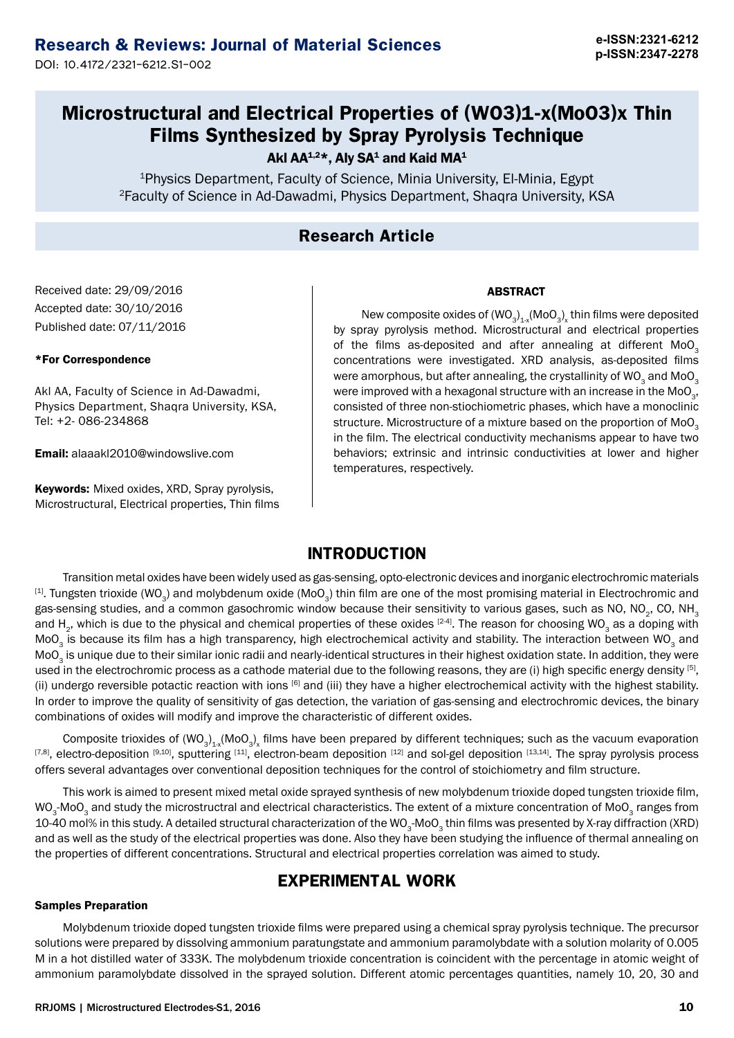DOI: 10.4172/2321-6212.S1-002

## **Microstructural and Electrical Properties of (WO3)1-x(MoO3)x Thin Films Synthesized by Spray Pyrolysis Technique**

Akl AA $^{1,2}$ \*, Aly SA<sup>1</sup> and Kaid MA<sup>1</sup>

<sup>1</sup>Physics Department, Faculty of Science, Minia University, El-Minia, Egypt <sup>2</sup>Faculty of Science in Ad-Dawadmi, Physics Department, Shaqra University, KSA

## **Research Article**

### Received date: 29/09/2016 Accepted date: 30/10/2016 Published date: 07/11/2016

### \*For Correspondence

Akl AA, Faculty of Science in Ad-Dawadmi, Physics Department, Shaqra University, KSA, Tel: +2- 086-234868

Email: alaaakl2010@windowslive.com

Keywords: Mixed oxides, XRD, Spray pyrolysis, Microstructural, Electrical properties, Thin films

New composite oxides of  $(\mathsf{WO}_3)_{1:\mathsf{x}}(\mathsf{MO}_3)_{\mathsf{x}}$  thin films were deposited by spray pyrolysis method. Microstructural and electrical properties of the films as-deposited and after annealing at different  $MoO<sub>3</sub>$ concentrations were investigated. XRD analysis, as-deposited films were amorphous, but after annealing, the crystallinity of WO<sub>2</sub> and MoO<sub>2</sub> were improved with a hexagonal structure with an increase in the MoO<sub>2</sub>, consisted of three non-stiochiometric phases, which have a monoclinic structure. Microstructure of a mixture based on the proportion of MoO<sub>2</sub> in the film. The electrical conductivity mechanisms appear to have two behaviors; extrinsic and intrinsic conductivities at lower and higher temperatures, respectively.

ABSTRACT

### **INTRODUCTION**

Transition metal oxides have been widely used as gas-sensing, opto-electronic devices and inorganic electrochromic materials  $[1]$ . Tungsten trioxide (WO<sub>3</sub>) and molybdenum oxide (MoO<sub>3</sub>) thin film are one of the most promising material in Electrochromic and gas-sensing studies, and a common gasochromic window because their sensitivity to various gases, such as NO, NO<sub>2</sub>, CO, NH<sub>3</sub> and H<sub>2</sub>, which is due to the physical and chemical properties of these oxides [24]. The reason for choosing WO<sub>3</sub> as a doping with MoO<sub>3</sub> is because its film has a high transparency, high electrochemical activity and stability. The interaction between WO<sub>3</sub> and MoO<sub>2</sub> is unique due to their similar ionic radii and nearly-identical structures in their highest oxidation state. In addition, they were used in the electrochromic process as a cathode material due to the following reasons, they are (i) high specific energy density [5], (ii) undergo reversible potactic reaction with ions [6] and (iii) they have a higher electrochemical activity with the highest stability. In order to improve the quality of sensitivity of gas detection, the variation of gas-sensing and electrochromic devices, the binary combinations of oxides will modify and improve the characteristic of different oxides.

Composite trioxides of  $(WO_3)_{1x}$ (MoO<sub>3</sub>)<sub>x</sub> films have been prepared by different techniques; such as the vacuum evaporation [7,8], electro-deposition [9,10], sputtering [11], electron-beam deposition [12] and sol-gel deposition [13,14]. The spray pyrolysis process offers several advantages over conventional deposition techniques for the control of stoichiometry and film structure.

This work is aimed to present mixed metal oxide sprayed synthesis of new molybdenum trioxide doped tungsten trioxide film, WO<sub>2</sub>-MoO<sub>2</sub> and study the microstructral and electrical characteristics. The extent of a mixture concentration of MoO<sub>2</sub> ranges from 10-40 mol% in this study. A detailed structural characterization of the WO<sub>3</sub>-MoO<sub>3</sub> thin films was presented by X-ray diffraction (XRD) and as well as the study of the electrical properties was done. Also they have been studying the influence of thermal annealing on the properties of different concentrations. Structural and electrical properties correlation was aimed to study.

## **EXPERIMENTAL WORK**

### Samples Preparation

Molybdenum trioxide doped tungsten trioxide films were prepared using a chemical spray pyrolysis technique. The precursor solutions were prepared by dissolving ammonium paratungstate and ammonium paramolybdate with a solution molarity of 0.005 M in a hot distilled water of 333K. The molybdenum trioxide concentration is coincident with the percentage in atomic weight of ammonium paramolybdate dissolved in the sprayed solution. Different atomic percentages quantities, namely 10, 20, 30 and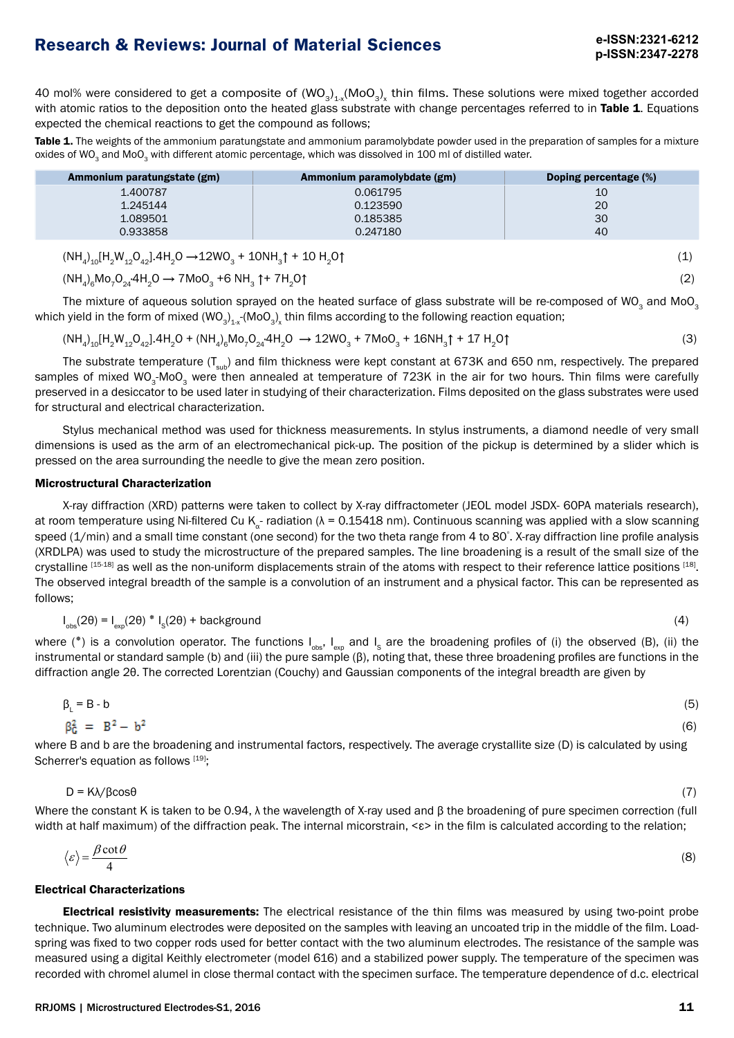40 mol% were considered to get a composite of  $(WO_3)_{4:x} (MO_3)_x$  thin films. These solutions were mixed together accorded with atomic ratios to the deposition onto the heated glass substrate with change percentages referred to in Table 1. Equations expected the chemical reactions to get the compound as follows;

Table 1. The weights of the ammonium paratungstate and ammonium paramolybdate powder used in the preparation of samples for a mixture oxides of WO<sub>3</sub> and MoO<sub>3</sub> with different atomic percentage, which was dissolved in 100 ml of distilled water.

| Ammonium paratungstate (gm) | Ammonium paramolybdate (gm) | Doping percentage (%) |
|-----------------------------|-----------------------------|-----------------------|
| 1.400787                    | 0.061795                    | 10                    |
| 1.245144                    | 0.123590                    | 20                    |
| 1.089501                    | 0.185385                    | 30                    |
| 0.933858                    | 0.247180                    | 40                    |
|                             |                             |                       |

 $(NH_4)_{10}H_2W_{12}O_{42}$ ].4H<sub>2</sub>O  $\rightarrow$ 12WO<sub>3</sub> + 10NH<sub>3</sub> $\uparrow$  + 10 H<sub>2</sub>O $\uparrow$ 

$$
(NH4)6 Mo7O24 4H2O \rightarrow 7MoO3 + 6 NH3 \uparrow + 7H2O \uparrow
$$
\n(2)

The mixture of aqueous solution sprayed on the heated surface of glass substrate will be re-composed of WO<sub>3</sub> and MoO<sub>3</sub> which yield in the form of mixed (WO<sub>3</sub>)<sub>1-x</sub>-(MoO<sub>3</sub>)<sub>x</sub> thin films according to the following reaction equation;

$$
(NH_4)_{10}[H_2W_{12}O_{42}].4H_2O + (NH_4)_{6}Mo_7O_{24} .4H_2O \rightarrow 12WO_3 + 7MoO_3 + 16NH_3\uparrow + 17 H_2O\uparrow
$$
\n(3)

The substrate temperature  $(T_{sub})$  and film thickness were kept constant at 673K and 650 nm, respectively. The prepared samples of mixed WO<sub>3</sub>-MoO<sub>3</sub> were then annealed at temperature of 723K in the air for two hours. Thin films were carefully preserved in a desiccator to be used later in studying of their characterization. Films deposited on the glass substrates were used for structural and electrical characterization.

Stylus mechanical method was used for thickness measurements. In stylus instruments, a diamond needle of very small dimensions is used as the arm of an electromechanical pick-up. The position of the pickup is determined by a slider which is pressed on the area surrounding the needle to give the mean zero position.

### Microstructural Characterization

X-ray diffraction (XRD) patterns were taken to collect by X-ray diffractometer (JEOL model JSDX- 60PA materials research), at room temperature using Ni-filtered Cu K<sub>a</sub>- radiation ( $\lambda$  = 0.15418 nm). Continuous scanning was applied with a slow scanning speed (1/min) and a small time constant (one second) for the two theta range from 4 to 80° . X-ray diffraction line profile analysis (XRDLPA) was used to study the microstructure of the prepared samples. The line broadening is a result of the small size of the crystalline [15-18] as well as the non-uniform displacements strain of the atoms with respect to their reference lattice positions [18]. The observed integral breadth of the sample is a convolution of an instrument and a physical factor. This can be represented as follows;

$$
I_{obs}(2\theta) = I_{exp}(2\theta) * I_{S}(2\theta) + background
$$
 (4)

where (\*) is a convolution operator. The functions  $I_{obs}$ ,  $I_{exp}$  and  $I_{S}$  are the broadening profiles of (i) the observed (B), (ii) the instrumental or standard sample (b) and (iii) the pure sample (β), noting that, these three broadening profiles are functions in the diffraction angle 2θ. The corrected Lorentzian (Couchy) and Gaussian components of the integral breadth are given by

$$
\beta_L = B - b \tag{5}
$$
  

$$
\beta_G^2 = B^2 - b^2 \tag{6}
$$

where B and b are the broadening and instrumental factors, respectively. The average crystallite size (D) is calculated by using Scherrer's equation as follows [19];

$$
D = K\lambda / \beta \cos \theta \tag{7}
$$

Where the constant K is taken to be 0.94, λ the wavelength of X-ray used and β the broadening of pure specimen correction (full width at half maximum) of the diffraction peak. The internal micorstrain, <ε> in the film is calculated according to the relation;

$$
\langle \varepsilon \rangle = \frac{\beta \cot \theta}{4} \tag{8}
$$

### Electrical Characterizations

**Electrical resistivity measurements:** The electrical resistance of the thin films was measured by using two-point probe technique. Two aluminum electrodes were deposited on the samples with leaving an uncoated trip in the middle of the film. Loadspring was fixed to two copper rods used for better contact with the two aluminum electrodes. The resistance of the sample was measured using a digital Keithly electrometer (model 616) and a stabilized power supply. The temperature of the specimen was recorded with chromel alumel in close thermal contact with the specimen surface. The temperature dependence of d.c. electrical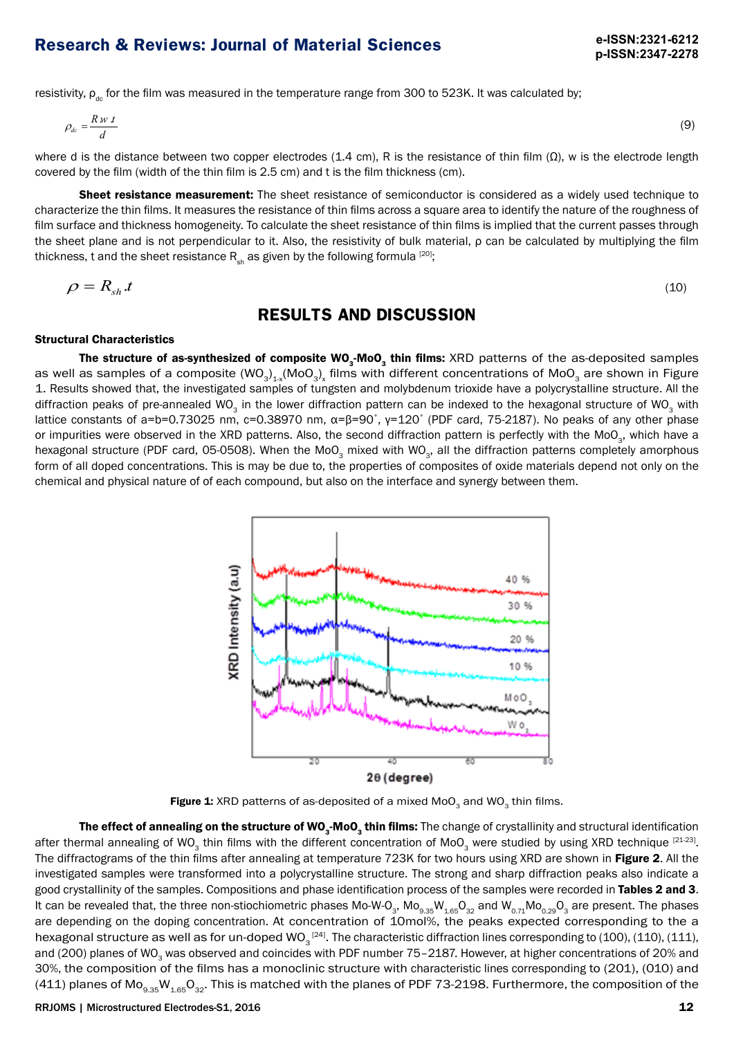resistivity,  $\rho_{dc}$  for the film was measured in the temperature range from 300 to 523K. It was calculated by;

$$
\rho_{dc} = \frac{Rw t}{d}
$$
 (9)

where d is the distance between two copper electrodes (1.4 cm), R is the resistance of thin film (Ω), w is the electrode length covered by the film (width of the thin film is 2.5 cm) and t is the film thickness (cm).

Sheet resistance measurement: The sheet resistance of semiconductor is considered as a widely used technique to characterize the thin films. It measures the resistance of thin films across a square area to identify the nature of the roughness of film surface and thickness homogeneity. To calculate the sheet resistance of thin films is implied that the current passes through the sheet plane and is not perpendicular to it. Also, the resistivity of bulk material, ρ can be calculated by multiplying the film thickness, t and the sheet resistance  $R_{sh}$  as given by the following formula [20];

$$
\rho = R_{sh}.t \tag{10}
$$

### **RESULTS AND DISCUSSION**

#### Structural Characteristics

The structure of as-synthesized of composite WO<sub>2</sub>-MoO<sub>2</sub> thin films: XRD patterns of the as-deposited samples as well as samples of a composite (WO<sub>3</sub>)<sub>1-x</sub>(MoO<sub>3</sub>)<sub>x</sub> films with different concentrations of MoO<sub>3</sub> are shown in Figure 1. Results showed that, the investigated samples of tungsten and molybdenum trioxide have a polycrystalline structure. All the diffraction peaks of pre-annealed WO<sub>3</sub> in the lower diffraction pattern can be indexed to the hexagonal structure of WO<sub>3</sub> with lattice constants of a=b=0.73025 nm, c=0.38970 nm, α=β=90°, γ=120° (PDF card, 75-2187). No peaks of any other phase or impurities were observed in the XRD patterns. Also, the second diffraction pattern is perfectly with the MoO<sub>3</sub>, which have a hexagonal structure (PDF card, 05-0508). When the MoO<sub>3</sub> mixed with WO<sub>3</sub>, all the diffraction patterns completely amorphous form of all doped concentrations. This is may be due to, the properties of composites of oxide materials depend not only on the chemical and physical nature of of each compound, but also on the interface and synergy between them.



Figure 1: XRD patterns of as-deposited of a mixed  $Mo_{3}$  and  $WO_{3}$  thin films.

The effect of annealing on the structure of WO<sub>3</sub>-MoO<sub>3</sub> thin films: The change of crystallinity and structural identification after thermal annealing of WO<sub>3</sub> thin films with the different concentration of MoO<sub>3</sub> were studied by using XRD technique  $[21-23]$ . The diffractograms of the thin films after annealing at temperature 723K for two hours using XRD are shown in Figure 2. All the investigated samples were transformed into a polycrystalline structure. The strong and sharp diffraction peaks also indicate a good crystallinity of the samples. Compositions and phase identification process of the samples were recorded in Tables 2 and 3. It can be revealed that, the three non-stiochiometric phases Mo-W-O<sub>3</sub>, Mo<sub>9.35</sub>W<sub>1.65</sub>O<sub>32</sub> and W<sub>0.71</sub>Mo<sub>0.29</sub>O<sub>3</sub> are present. The phases are depending on the doping concentration. At concentration of 10mol%, the peaks expected corresponding to the a hexagonal structure as well as for un-doped WO $_3^{\, [24]}$ . The characteristic diffraction lines corresponding to (100), (110), (111), and (200) planes of WO<sub>3</sub> was observed and coincides with PDF number 75–2187. However, at higher concentrations of 20% and 30%, the composition of the films has a monoclinic structure with characteristic lines corresponding to (201), (010) and (411) planes of Mo<sub>9.35</sub>W<sub>1.65</sub>O<sub>32</sub>. This is matched with the planes of PDF 73-2198. Furthermore, the composition of the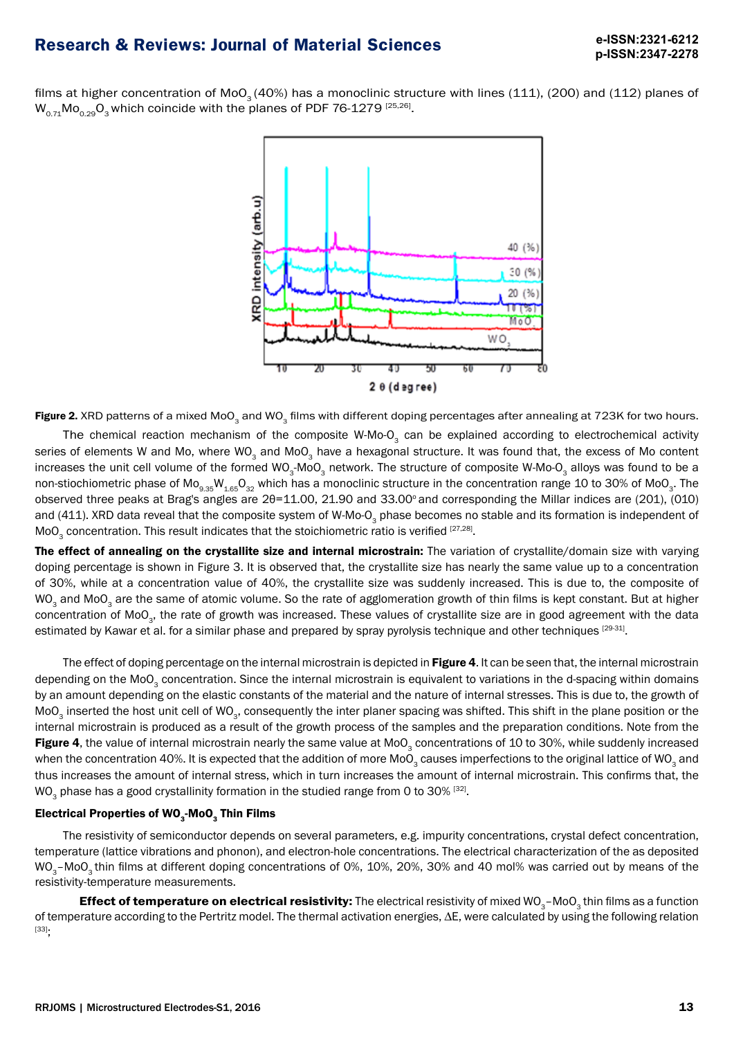films at higher concentration of MoO<sub>3</sub> (40%) has a monoclinic structure with lines (111), (200) and (112) planes of  $W_{0.71}$ Mo<sub>0.29</sub>O<sub>3</sub> which coincide with the planes of PDF 76-1279 [25,26].



Figure 2. XRD patterns of a mixed MoO<sub>3</sub> and WO<sub>3</sub> films with different doping percentages after annealing at 723K for two hours.

The chemical reaction mechanism of the composite W-Mo- $O<sub>3</sub>$  can be explained according to electrochemical activity series of elements W and Mo, where WO<sub>2</sub> and MoO<sub>2</sub> have a hexagonal structure. It was found that, the excess of Mo content increases the unit cell volume of the formed WO<sub>3</sub>-MoO<sub>3</sub> network. The structure of composite W-Mo-O<sub>3</sub> alloys was found to be a non-stiochiometric phase of  $Mo_{9.35}W_{1.65}O_{32}$  which has a monoclinic structure in the concentration range 10 to 30% of MoO<sub>3</sub>. The observed three peaks at Brag's angles are 2θ=11.00, 21.90 and 33.00° and corresponding the Millar indices are (201), (010) and (411). XRD data reveal that the composite system of W-Mo-O<sub>3</sub> phase becomes no stable and its formation is independent of  $MoO<sub>3</sub> concentration. This result indicates that the stoichiometric ratio is verified [27,28].$ 

The effect of annealing on the crystallite size and internal microstrain: The variation of crystallite/domain size with varying doping percentage is shown in Figure 3. It is observed that, the crystallite size has nearly the same value up to a concentration of 30%, while at a concentration value of 40%, the crystallite size was suddenly increased. This is due to, the composite of WO<sub>3</sub> and MoO<sub>3</sub> are the same of atomic volume. So the rate of agglomeration growth of thin films is kept constant. But at higher concentration of MoO<sub>2</sub>, the rate of growth was increased. These values of crystallite size are in good agreement with the data estimated by Kawar et al. for a similar phase and prepared by spray pyrolysis technique and other techniques [29-31].

The effect of doping percentage on the internal microstrain is depicted in Figure 4. It can be seen that, the internal microstrain depending on the MoO<sub>3</sub> concentration. Since the internal microstrain is equivalent to variations in the d-spacing within domains by an amount depending on the elastic constants of the material and the nature of internal stresses. This is due to, the growth of MoO<sub>3</sub> inserted the host unit cell of WO<sub>3</sub>, consequently the inter planer spacing was shifted. This shift in the plane position or the internal microstrain is produced as a result of the growth process of the samples and the preparation conditions. Note from the Figure 4, the value of internal microstrain nearly the same value at MoO<sub>3</sub> concentrations of 10 to 30%, while suddenly increased when the concentration 40%. It is expected that the addition of more MoO<sub>3</sub> causes imperfections to the original lattice of WO<sub>3</sub> and thus increases the amount of internal stress, which in turn increases the amount of internal microstrain. This confirms that, the WO<sub>3</sub> phase has a good crystallinity formation in the studied range from 0 to 30%  $[32]$ .

### Electrical Properties of  $WO_{3}$ -Mo $O_{3}$  Thin Films

The resistivity of semiconductor depends on several parameters, e.g. impurity concentrations, crystal defect concentration, temperature (lattice vibrations and phonon), and electron-hole concentrations. The electrical characterization of the as deposited WO<sub>3</sub>-MoO<sub>3</sub> thin films at different doping concentrations of 0%, 10%, 20%, 30% and 40 mol% was carried out by means of the resistivity-temperature measurements.

**Effect of temperature on electrical resistivity:** The electrical resistivity of mixed WO<sub>3</sub>–MoO<sub>3</sub> thin films as a function of temperature according to the Pertritz model. The thermal activation energies, ∆E, were calculated by using the following relation [33];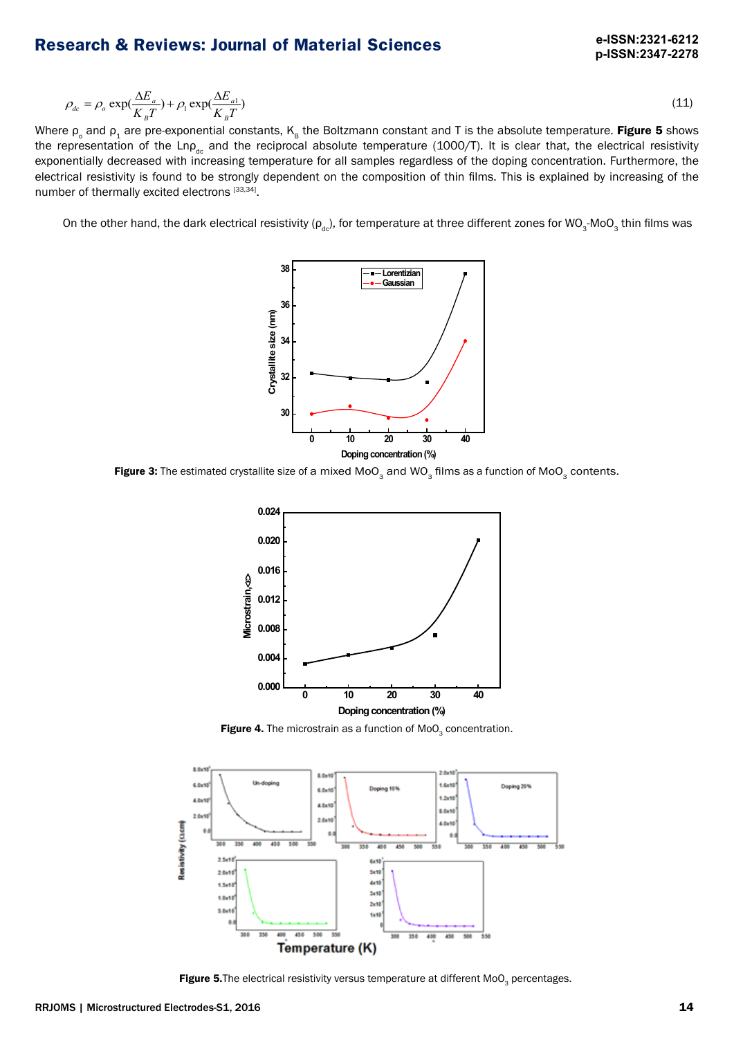$$
\rho_{dc} = \rho_o \exp(\frac{\Delta E_a}{K_B T}) + \rho_1 \exp(\frac{\Delta E_{a1}}{K_B T})
$$
\n(11)

Where ρ<sub>o</sub> and ρ<sub>1</sub> are pre-exponential constants, K<sub>B</sub> the Boltzmann constant and T is the absolute temperature. **Figure 5** shows the representation of the Lnp<sub>dc</sub> and the reciprocal absolute temperature (1000/T). It is clear that, the electrical resistivity exponentially decreased with increasing temperature for all samples regardless of the doping concentration. Furthermore, the electrical resistivity is found to be strongly dependent on the composition of thin films. This is explained by increasing of the number of thermally excited electrons [33,34].

On the other hand, the dark electrical resistivity ( $\rho_{ab}$ ), for temperature at three different zones for WO<sub>3</sub>-MoO<sub>3</sub> thin films was



Figure 3: The estimated crystallite size of a mixed  $Mo_{3}$  and  $WO_{3}$  films as a function of MoO<sub>3</sub> contents.



Figure 4. The microstrain as a function of  $MoO<sub>3</sub>$  concentration.



Figure 5. The electrical resistivity versus temperature at different MoO<sub>2</sub> percentages.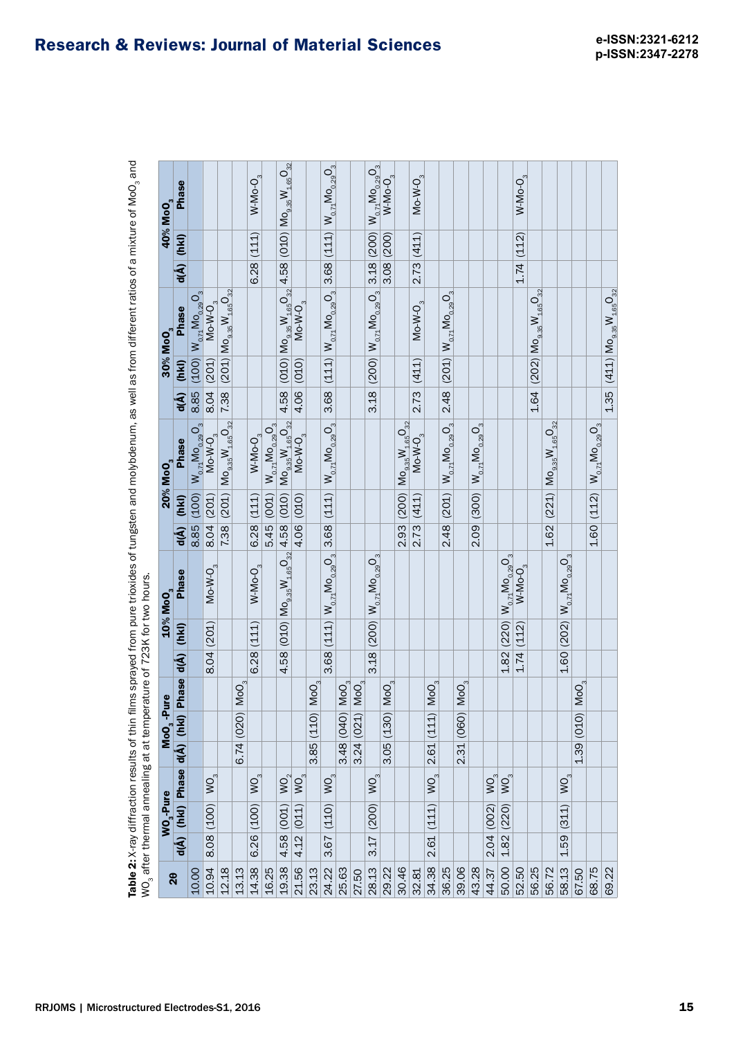| WO <sub>3</sub> after thermal annealing at at temp |         |                       |                                |      |                               |                   |                  |                         | erature of 723K for two hours.                |      |       | Table 2: X-ray diffraction results of thin films sprayed from pure trioxides of tungsten and molybdenum, as well as from different ratios of a mixture of MoO <sub>3</sub> and |      |            |                                                                                 |            |                      |                                              |
|----------------------------------------------------|---------|-----------------------|--------------------------------|------|-------------------------------|-------------------|------------------|-------------------------|-----------------------------------------------|------|-------|--------------------------------------------------------------------------------------------------------------------------------------------------------------------------------|------|------------|---------------------------------------------------------------------------------|------------|----------------------|----------------------------------------------|
|                                                    |         | WO <sub>2</sub> -Pure |                                |      | $\textbf{MoO}_3 - \textbf{P}$ | <sup>o</sup> ure  |                  | $10\%$ MoO <sub>3</sub> |                                               |      |       | 20% MoO <sub>3</sub>                                                                                                                                                           |      |            | 30% MoO <sub>3</sub>                                                            |            | 40% MoO <sub>3</sub> |                                              |
| 20                                                 |         |                       | d(Å) (hkl) Phase d(Å) (hkl)    |      |                               |                   | Phase d(Å) (hkl) |                         | Phase                                         | d(Å) | (hk)  | <b>Phase</b>                                                                                                                                                                   | d(Å) | (hk)       | Phase                                                                           | $d(\AA)$   | (hkI)                | <b>Phase</b>                                 |
| 10.00                                              |         |                       |                                |      |                               |                   |                  |                         |                                               | 8.85 | (100) | $W_{0.71}$ M $O_{0.29}O_3$                                                                                                                                                     |      |            | 8.85 (100) $W_{0.71}$ M <sub>0.29</sub> O <sub>3</sub>                          |            |                      |                                              |
| 10.94                                              | 8.08    | (100)                 | WO <sub>3</sub>                |      |                               |                   | 8.04 (201)       |                         | $Mo-W-O3$                                     | 8.04 | (201) | $Mo-W-O3$                                                                                                                                                                      |      | 8.04 (201) | $Mo-W-O3$                                                                       |            |                      |                                              |
| 12.18                                              |         |                       |                                |      |                               |                   |                  |                         |                                               | 7.38 | (201) | $\rm Mo_{9.35}W_{1.65}O_{32}$                                                                                                                                                  | 7.38 |            | $(201)$ $Mo_{9.35}W_{1.65}O_{32}$                                               |            |                      |                                              |
| 13.13                                              |         |                       |                                | 6.74 | (020)                         | $M$ o $O_{3}$     |                  |                         |                                               |      |       |                                                                                                                                                                                |      |            |                                                                                 |            |                      |                                              |
| 14.38                                              | 6.26    | (100)                 | $\sum_{3}$                     |      |                               |                   | 6.28             | (111)                   | $W-Mo-O3$                                     | 6.28 | (111) | $W-Mo-O3$                                                                                                                                                                      |      |            |                                                                                 | 6.28       | (111)                | $W-Mo-O3$                                    |
| 16.25                                              |         |                       |                                |      |                               |                   |                  |                         |                                               | 5.45 | (001) | $W_{o,71}$ Mo <sub>0.29</sub> O <sub>3</sub>                                                                                                                                   |      |            |                                                                                 |            |                      |                                              |
| 19.38                                              | 4.58    | (001)                 | $\sum_{2}$                     |      |                               |                   |                  |                         | $4.58(010)(10_{9.35}W_{1.65}O_{32}4.58)$      |      | (010) | $M$ O <sub>9.35</sub> $W_{1.65}$ O <sub>32</sub>                                                                                                                               | 4.58 |            | (010) $\rm{Mo_{9.35}W_{1.65}O_{32}}$ (4.58 (010) $\rm{Mo_{9.35}W_{1.65}O_{32}}$ |            |                      |                                              |
| 21.56                                              | 4.12    | (011)                 | $WO_3$                         |      |                               |                   |                  |                         |                                               | 4.06 | (010) | $Mo-W-O3$                                                                                                                                                                      |      | 4.06 (010) | $Mo-W-O3$                                                                       |            |                      |                                              |
| 23.13                                              |         |                       |                                | 3.85 | (110)                         | MOO <sub>3</sub>  |                  |                         |                                               |      |       |                                                                                                                                                                                |      |            |                                                                                 |            |                      |                                              |
| 24.22                                              | 3.67    | (110)                 | $\sum_{3}$                     |      |                               |                   |                  |                         | $3.68$ (111) $W_{0,71}$ $M_{0,29}$ $O_3$ 3.68 |      | (111) | $W_{0.71}$ Mo <sub>0.29</sub> O <sub>3</sub>                                                                                                                                   |      |            | $3.68$ (111) $W_{0.71}$ $M_{0.29}$ O <sub>3</sub> 3.68 (111)                    |            |                      | $W_{0.71}$ Mo <sub>0.29</sub> O <sub>3</sub> |
| 25.63                                              |         |                       |                                | 3.48 | (040)                         | $\mathsf{Mo}_{3}$ |                  |                         |                                               |      |       |                                                                                                                                                                                |      |            |                                                                                 |            |                      |                                              |
| 27.50                                              |         |                       |                                | 3.24 | (021)                         | MOO <sub>3</sub>  |                  |                         |                                               |      |       |                                                                                                                                                                                |      |            |                                                                                 |            |                      |                                              |
| 28.13                                              | 3.17    | (200)                 | $W_{\mathcal{O}_{\mathbb{S}}}$ |      |                               |                   | 3.18             | (200)                   | $W_{0.71}$ M $O_{0.29}O_{3}$                  |      |       |                                                                                                                                                                                | 3.18 | (200)      | $W_{0.71}$ Mo <sub>0.29</sub> O <sub>3</sub>                                    | 3.18 (200) |                      | $W_{0.71}$ Mo <sub>0.29</sub> O <sub>3</sub> |
| 29.22                                              |         |                       |                                | 3.05 | (130)                         | $\mathsf{Mo}_3$   |                  |                         |                                               |      |       |                                                                                                                                                                                |      |            |                                                                                 | 3.08 (200) |                      | $W-Mo-O_3$                                   |
| 30.46                                              |         |                       |                                |      |                               |                   |                  |                         |                                               | 2.93 | (200) | $Mo_{9.35}W_{1.65}O_{32}$                                                                                                                                                      |      |            |                                                                                 |            |                      |                                              |
| 32.81                                              |         |                       |                                |      |                               |                   |                  |                         |                                               | 2.73 | (411) | $Mo-W-O3$                                                                                                                                                                      |      | 2.73(411)  | $Mo-W-O3$                                                                       | 2.73(411)  |                      | $Mo-W-O3$                                    |
| 34.38                                              | 2.61    | (111)                 | $\sum_{3}$                     | 2.61 | (111)                         | MOO <sub>3</sub>  |                  |                         |                                               |      |       |                                                                                                                                                                                |      |            |                                                                                 |            |                      |                                              |
| 36.25                                              |         |                       |                                |      |                               |                   |                  |                         |                                               | 2.48 | (201) | $W_{0.71}$ M $O_{0.29}$ $O_3$                                                                                                                                                  | 2.48 | (201)      | $W_{o,71}$ Mo <sub>0.29</sub> O <sub>3</sub>                                    |            |                      |                                              |
| 39.06                                              |         |                       |                                | 2.31 | (060)                         | $M_0O_{3}$        |                  |                         |                                               |      |       |                                                                                                                                                                                |      |            |                                                                                 |            |                      |                                              |
| 43.28                                              |         |                       |                                |      |                               |                   |                  |                         |                                               | 2.09 | (300) | $W_{0.71}$ Mo <sub>0.29</sub> O <sub>3</sub>                                                                                                                                   |      |            |                                                                                 |            |                      |                                              |
| 44.37                                              | 2.04    | (002)                 | $\sum_{3}$                     |      |                               |                   |                  |                         |                                               |      |       |                                                                                                                                                                                |      |            |                                                                                 |            |                      |                                              |
| 50.00                                              | 1.82    | (220)                 | WO <sub>3</sub>                |      |                               |                   | 1.82(220)        |                         | $W_{0.71}$ Mo <sub>0.29</sub> O <sub>3</sub>  |      |       |                                                                                                                                                                                |      |            |                                                                                 |            |                      |                                              |
| 52.50                                              |         |                       |                                |      |                               |                   | 1.74(112)        |                         | $W-Mo-23$                                     |      |       |                                                                                                                                                                                |      |            |                                                                                 | 1.74(112)  |                      | $W-Mo-O3$                                    |
| 56.25                                              |         |                       |                                |      |                               |                   |                  |                         |                                               |      |       |                                                                                                                                                                                |      |            | $1.64$ (202) $\rm{Mo_{9.35}W_{1.65}O_{32}}$                                     |            |                      |                                              |
| 56.72                                              |         |                       |                                |      |                               |                   |                  |                         |                                               | 1.62 |       | $(221)$ $MO_{9.35}W_{1.65}O_{32}$                                                                                                                                              |      |            |                                                                                 |            |                      |                                              |
| 58.13                                              | 59<br>÷ | (311)                 | $\sum_{3}$                     |      |                               |                   | 1.60(202)        |                         | $W_{0.71}$ Mo <sub>0.29</sub> O <sub>3</sub>  |      |       |                                                                                                                                                                                |      |            |                                                                                 |            |                      |                                              |
| 67.50                                              |         |                       |                                | 1.39 | (010)                         | $Mo_{3}$          |                  |                         |                                               |      |       |                                                                                                                                                                                |      |            |                                                                                 |            |                      |                                              |
| 68.75                                              |         |                       |                                |      |                               |                   |                  |                         |                                               | 1.60 | (112) | $W_{0.71}$ Mo $_{0.29}$ O <sub>3</sub>                                                                                                                                         |      |            |                                                                                 |            |                      |                                              |
| 69.22                                              |         |                       |                                |      |                               |                   |                  |                         |                                               |      |       |                                                                                                                                                                                |      |            | $1.35 (411) \mathsf{Mo}_{9.35}\mathsf{W}_{1.65}\mathsf{O}_{32}$                 |            |                      |                                              |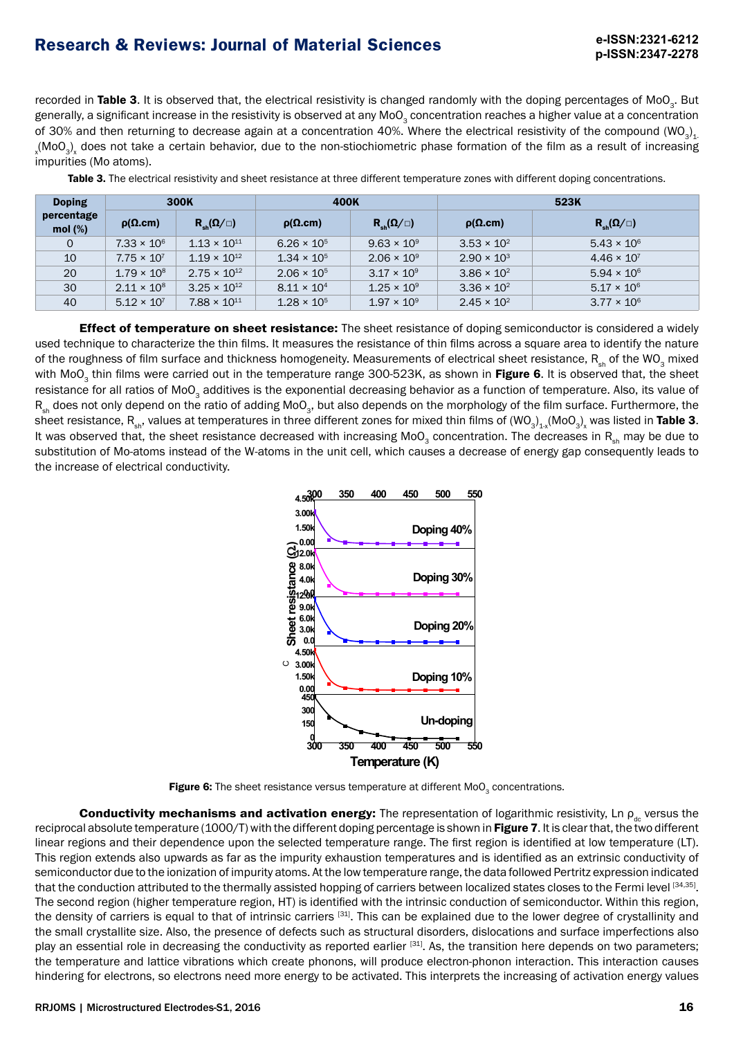#### RRJOMS | Microstructured Electrodes-S1, 2016 16

**p-ISSN:2347-2278 Research & Reviews: Journal of Material Sciences**

recorded in Table 3. It is observed that, the electrical resistivity is changed randomly with the doping percentages of MoO<sub>2</sub>. But generally, a significant increase in the resistivity is observed at any MoO<sub>3</sub> concentration reaches a higher value at a concentration of 30% and then returning to decrease again at a concentration 40%. Where the electrical resistivity of the compound (WO<sub>3</sub>)<sub>1</sub>  $_{\rm x}$ (MoO<sub>3</sub>)<sub>x</sub> does not take a certain behavior, due to the non-stiochiometric phase formation of the film as a result of increasing impurities (Mo atoms).

| <b>Doping</b>            | 300K                 |                           | 400K                 |                           |                      | 523K                                                                                                                  |
|--------------------------|----------------------|---------------------------|----------------------|---------------------------|----------------------|-----------------------------------------------------------------------------------------------------------------------|
| percentage<br>mol $(\%)$ | $\rho(\Omega, cm)$   | $R_{\rm sh}(\Omega/\Box)$ | $\rho(\Omega.cm)$    | $R_{\rm sh}(\Omega/\Box)$ | $\rho(\Omega.cm)$    | $R_{\rm sh}(\Omega/\Box)$                                                                                             |
| $\mathbf 0$              | $7.33 \times 10^{6}$ | $1.13 \times 10^{11}$     | $6.26 \times 10^{5}$ | $9.63 \times 10^{9}$      | $3.53 \times 10^{2}$ | $5.43 \times 10^{6}$                                                                                                  |
| 10                       | $7.75 \times 10^{7}$ | $1.19 \times 10^{12}$     | $1.34 \times 10^{5}$ | $2.06 \times 10^{9}$      | $2.90 \times 10^{3}$ | $4.46 \times 10^{7}$                                                                                                  |
| 20                       | $1.79 \times 10^8$   | $2.75 \times 10^{12}$     | $2.06 \times 10^{5}$ | $3.17 \times 10^{9}$      | $3.86 \times 10^{2}$ | $5.94 \times 10^{6}$                                                                                                  |
| 30                       | $2.11 \times 10^8$   | $3.25 \times 10^{12}$     | $8.11 \times 10^{4}$ | $1.25 \times 10^{9}$      | $3.36 \times 10^{2}$ | $5.17 \times 10^{6}$                                                                                                  |
| 40                       | $5.12 \times 10^{7}$ | $7.88 \times 10^{11}$     | $1.28 \times 10^{5}$ | $1.97 \times 10^{9}$      | $2.45 \times 10^{2}$ | $3.77 \times 10^{6}$                                                                                                  |
|                          |                      |                           |                      |                           |                      | <b>Effect of temperature on sheet resistance:</b> The sheet resistance of doning semiconductor is considered a widely |

Table 3. The electrical resistivity and sheet resistance at three different temperature zones with different doping concentrations.

Effect of temperature on sheet resistance: The sheet resistance of doping semiconductor is considered a widely used technique to characterize the thin films. It measures the resistance of thin films across a square area to identify the nature of the roughness of film surface and thickness homogeneity. Measurements of electrical sheet resistance,  $R_{ab}$  of the WO<sub>2</sub> mixed with MoO<sub>2</sub> thin films were carried out in the temperature range 300-523K, as shown in Figure 6. It is observed that, the sheet resistance for all ratios of MoO<sub>3</sub> additives is the exponential decreasing behavior as a function of temperature. Also, its value of  $R_{sh}$  does not only depend on the ratio of adding MoO<sub>3</sub>, but also depends on the morphology of the film surface. Furthermore, the sheet resistance, R<sub>sh</sub>, values at temperatures in three different zones for mixed thin films of (WO<sub>3</sub>)<sub>1-x</sub>(MoO<sub>3</sub>)<sub>x</sub> was listed in **Table 3**. It was observed that, the sheet resistance decreased with increasing MoO<sub>3</sub> concentration. The decreases in R<sub>sh</sub> may be due to substitution of Mo-atoms instead of the W-atoms in the unit cell, which causes a decrease of energy gap consequently leads to the increase of electrical conductivity.

**300 350 400 450 500 550**

**Doping 30%**

**Doping 40%**



**9.0k 12.0k 0.0 4.0k 8.0k 12.0k 0.00 1.50k 3.00k 4.50k**

**sista n ce (**Ω**.)**

Figure 6: The sheet resistance versus temperature at different  $MoO<sub>3</sub>$  concentrations.

Conductivity mechanisms and activation energy: The representation of logarithmic resistivity, Ln  $\rho_{\alpha}$  versus the reciprocal absolute temperature (1000/T) with the different doping percentage is shown in Figure 7. It is clear that, the two different linear regions and their dependence upon the selected temperature range. The first region is identified at low temperature (LT). This region extends also upwards as far as the impurity exhaustion temperatures and is identified as an extrinsic conductivity of semiconductor due to the ionization of impurity atoms. At the low temperature range, the data followed Pertritz expression indicated that the conduction attributed to the thermally assisted hopping of carriers between localized states closes to the Fermi level [34,35]. The second region (higher temperature region, HT) is identified with the intrinsic conduction of semiconductor. Within this region, the density of carriers is equal to that of intrinsic carriers [31]. This can be explained due to the lower degree of crystallinity and the small crystallite size. Also, the presence of defects such as structural disorders, dislocations and surface imperfections also play an essential role in decreasing the conductivity as reported earlier [31]. As, the transition here depends on two parameters; the temperature and lattice vibrations which create phonons, will produce electron-phonon interaction. This interaction causes hindering for electrons, so electrons need more energy to be activated. This interprets the increasing of activation energy values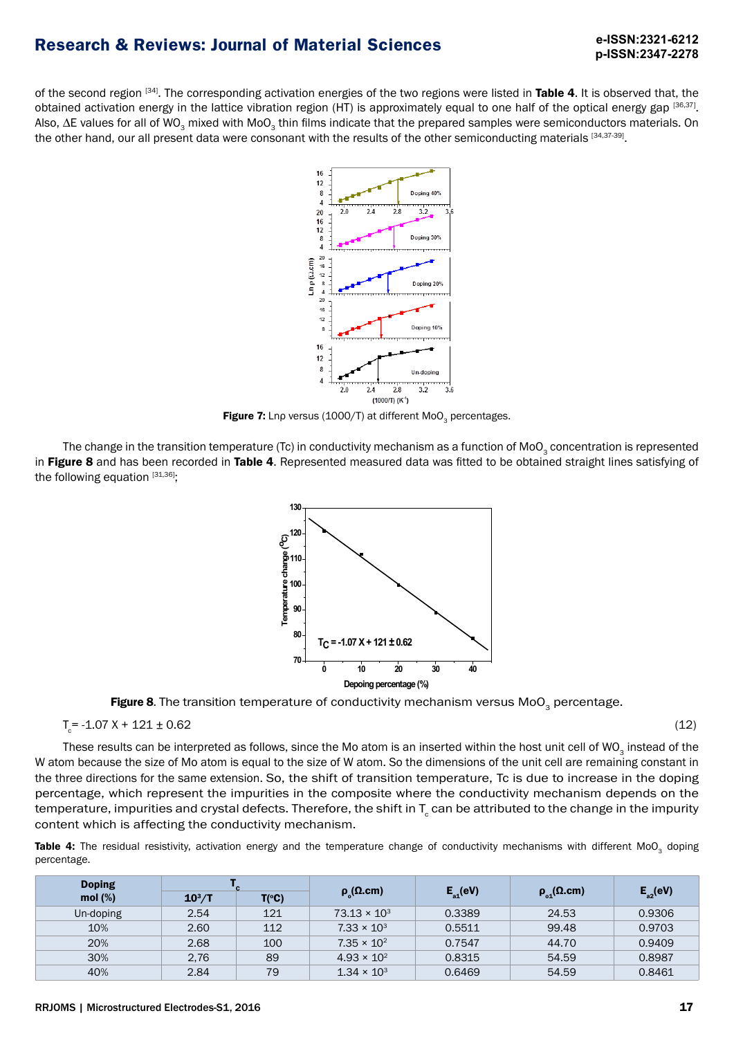of the second region [34]. The corresponding activation energies of the two regions were listed in Table 4. It is observed that, the obtained activation energy in the lattice vibration region (HT) is approximately equal to one half of the optical energy gap [36,37]. Also, ∆E values for all of WO<sub>3</sub> mixed with MoO<sub>3</sub> thin films indicate that the prepared samples were semiconductors materials. On the other hand, our all present data were consonant with the results of the other semiconducting materials [34,37-39].



Figure 7: Lnp versus (1000/T) at different MoO<sub>2</sub> percentages.

The change in the transition temperature (Tc) in conductivity mechanism as a function of MoO<sub>3</sub> concentration is represented in Figure 8 and has been recorded in Table 4. Represented measured data was fitted to be obtained straight lines satisfying of the following equation  $[31,36]$ ;



Figure 8. The transition temperature of conductivity mechanism versus  $MoO<sub>3</sub>$  percentage.

$$
T_c = -1.07 \text{ X} + 121 \pm 0.62 \tag{12}
$$

These results can be interpreted as follows, since the Mo atom is an inserted within the host unit cell of WO<sub>3</sub> instead of the W atom because the size of Mo atom is equal to the size of W atom. So the dimensions of the unit cell are remaining constant in the three directions for the same extension. So, the shift of transition temperature, Tc is due to increase in the doping percentage, which represent the impurities in the composite where the conductivity mechanism depends on the temperature, impurities and crystal defects. Therefore, the shift in T $_{\rm c}$  can be attributed to the change in the impurity content which is affecting the conductivity mechanism.

Table 4: The residual resistivity, activation energy and the temperature change of conductivity mechanisms with different MoO<sub>3</sub> doping percentage.

| <b>Doping</b> |          |                |                           |                      |                        |               |
|---------------|----------|----------------|---------------------------|----------------------|------------------------|---------------|
| mol $(\%)$    | $10^3/T$ | $T(^{\circ}C)$ | $\rho_{\circ}(\Omega.cm)$ | $E_{\text{at}}$ (eV) | $\rho_{01}(\Omega.cm)$ | $E_{a2}$ (eV) |
| Un-doping     | 2.54     | 121            | $73.13 \times 10^3$       | 0.3389               | 24.53                  | 0.9306        |
| 10%           | 2.60     | 112            | $7.33 \times 10^{3}$      | 0.5511               | 99.48                  | 0.9703        |
| 20%           | 2.68     | 100            | $7.35 \times 10^{2}$      | 0.7547               | 44.70                  | 0.9409        |
| 30%           | 2.76     | 89             | $4.93 \times 10^{2}$      | 0.8315               | 54.59                  | 0.8987        |
| 40%           | 2.84     | 79             | $1.34 \times 10^{3}$      | 0.6469               | 54.59                  | 0.8461        |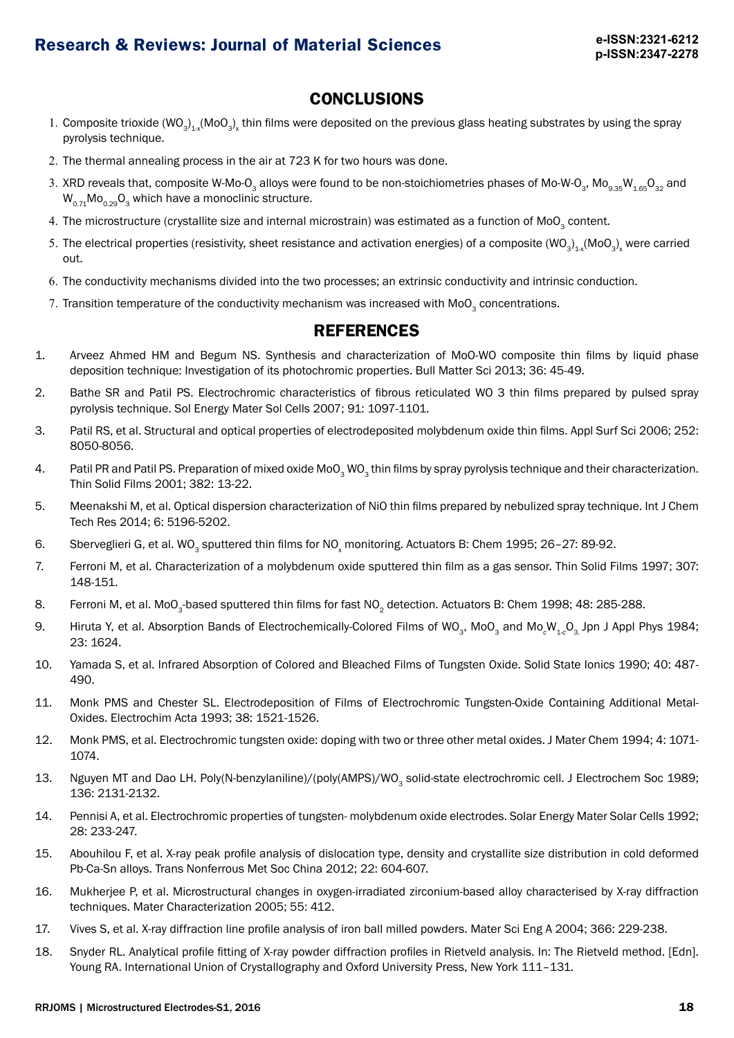### **CONCLUSIONS**

- 1. Composite trioxide (WO<sub>3</sub>)<sub>1-x</sub>(MoO<sub>3</sub>)<sub>x</sub> thin films were deposited on the previous glass heating substrates by using the spray pyrolysis technique.
- 2. The thermal annealing process in the air at 723 K for two hours was done.
- 3. XRD reveals that, composite W-Mo-O<sub>3</sub> alloys were found to be non-stoichiometries phases of Mo-W-O<sub>3</sub>, Mo<sub>9.35</sub>W<sub>1.65</sub>O<sub>32</sub> and  $W_{0,71}$ Mo<sub>0.29</sub>O<sub>3</sub> which have a monoclinic structure.
- 4. The microstructure (crystallite size and internal microstrain) was estimated as a function of MoO<sub>3</sub> content.
- 5. The electrical properties (resistivity, sheet resistance and activation energies) of a composite (WO<sub>3</sub>)<sub>1-x</sub>(MoO<sub>3</sub>)<sub>x</sub> were carried out.
- 6. The conductivity mechanisms divided into the two processes; an extrinsic conductivity and intrinsic conduction.
- 7. Transition temperature of the conductivity mechanism was increased with MoO<sub>2</sub> concentrations.

## **REFERENCES**

- 1. Arveez Ahmed HM and Begum NS. Synthesis and characterization of MoO-WO composite thin films by liquid phase deposition technique: Investigation of its photochromic properties. Bull Matter Sci 2013; 36: 45-49.
- 2. Bathe SR and Patil PS. Electrochromic characteristics of fibrous reticulated WO 3 thin films prepared by pulsed spray pyrolysis technique. Sol Energy Mater Sol Cells 2007; 91: 1097-1101.
- 3. Patil RS, et al. Structural and optical properties of electrodeposited molybdenum oxide thin films. Appl Surf Sci 2006; 252: 8050-8056.
- 4. Patil PR and Patil PS. Preparation of mixed oxide MoO<sub>2</sub> WO<sub>2</sub> thin films by spray pyrolysis technique and their characterization. Thin Solid Films 2001; 382: 13-22.
- 5. Meenakshi M, et al. Optical dispersion characterization of NiO thin films prepared by nebulized spray technique. Int J Chem Tech Res 2014; 6: 5196-5202.
- 6. Sberveglieri G, et al. WO<sub>3</sub> sputtered thin films for NO<sub>x</sub> monitoring. Actuators B: Chem 1995; 26-27: 89-92.
- 7. Ferroni M, et al. Characterization of a molybdenum oxide sputtered thin film as a gas sensor. Thin Solid Films 1997; 307: 148-151.
- 8. Ferroni M, et al. MoO<sub>3</sub>-based sputtered thin films for fast NO<sub>2</sub> detection. Actuators B: Chem 1998; 48: 285-288.
- 9. Hiruta Y, et al. Absorption Bands of Electrochemically-Colored Films of WO<sub>3</sub>, MoO<sub>3</sub> and Mo<sub>c</sub>W<sub>1-c</sub>O<sub>3</sub> Jpn J Appl Phys 1984; 23: 1624.
- 10. Yamada S, et al. Infrared Absorption of Colored and Bleached Films of Tungsten Oxide. Solid State Ionics 1990; 40: 487- 490.
- 11. Monk PMS and Chester SL. Electrodeposition of Films of Electrochromic Tungsten-Oxide Containing Additional Metal-Oxides. Electrochim Acta 1993; 38: 1521-1526.
- 12. Monk PMS, et al. Electrochromic tungsten oxide: doping with two or three other metal oxides. J Mater Chem 1994; 4: 1071- 1074.
- 13. Nguyen MT and Dao LH. Poly(N-benzylaniline)/(poly(AMPS)/WO<sub>3</sub> solid-state electrochromic cell. J Electrochem Soc 1989; 136: 2131-2132.
- 14. Pennisi A, et al. Electrochromic properties of tungsten- molybdenum oxide electrodes. Solar Energy Mater Solar Cells 1992; 28: 233-247.
- 15. Abouhilou F, et al. X-ray peak profile analysis of dislocation type, density and crystallite size distribution in cold deformed Pb-Ca-Sn alloys. Trans Nonferrous Met Soc China 2012; 22: 604-607.
- 16. Mukherjee P, et al. Microstructural changes in oxygen-irradiated zirconium-based alloy characterised by X-ray diffraction techniques. Mater Characterization 2005; 55: 412.
- 17. Vives S, et al. X-ray diffraction line profile analysis of iron ball milled powders. Mater Sci Eng A 2004; 366: 229-238.
- 18. Snyder RL. Analytical profile fitting of X-ray powder diffraction profiles in Rietveld analysis. In: The Rietveld method. [Edn]. Young RA. International Union of Crystallography and Oxford University Press, New York 111–131.